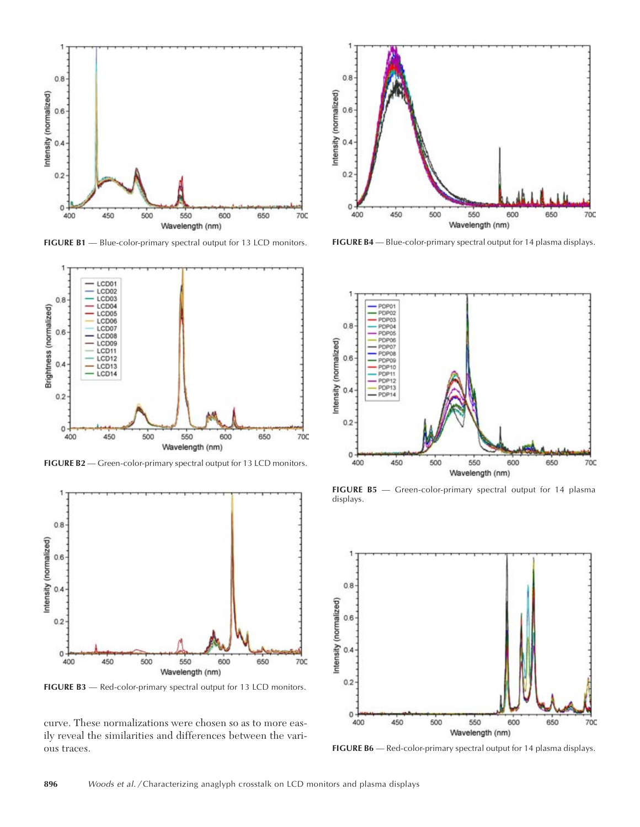

**FIGURE B1** — Blue-color-primary spectral output for 13 LCD monitors.



**FIGURE B2** — Green-color-primary spectral output for 13 LCD monitors.



**FIGURE B3** — Red-color-primary spectral output for 13 LCD monitors.

curve. These normalizations were chosen so as to more easily reveal the similarities and differences between the various traces.



**FIGURE B4** — Blue-color-primary spectral output for 14 plasma displays.



**FIGURE B5** — Green-color-primary spectral output for 14 plasma displays.



**FIGURE B6** — Red-color-primary spectral output for 14 plasma displays.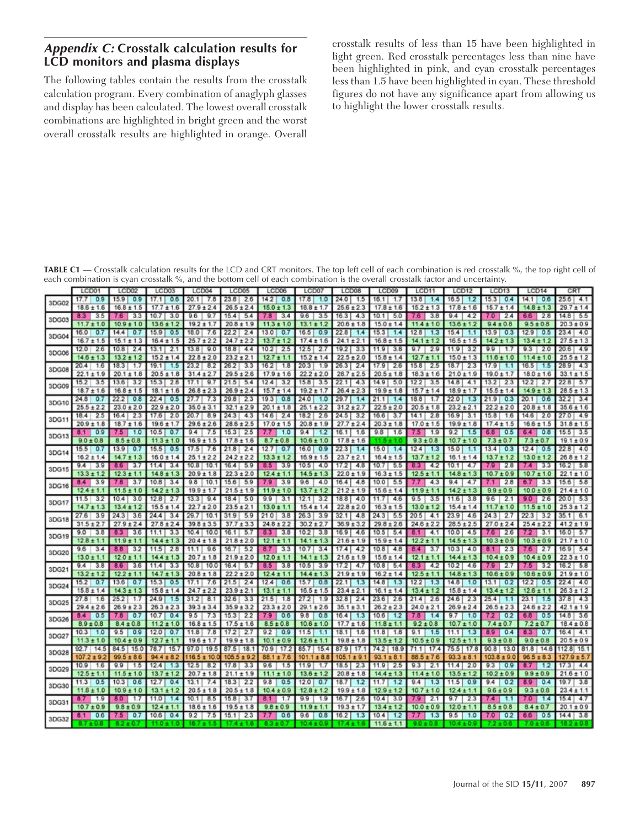## **Appendix C: Crosstalk calculation results for LCD monitors and plasma displays**

The following tables contain the results from the crosstalk calculation program. Every combination of anaglyph glasses and display has been calculated. The lowest overall crosstalk combinations are highlighted in bright green and the worst overall crosstalk results are highlighted in orange. Overall crosstalk results of less than 15 have been highlighted in light green. Red crosstalk percentages less than nine have been highlighted in pink, and cyan crosstalk percentages less than 1.5 have been highlighted in cyan. These threshold figures do not have any significance apart from allowing us to highlight the lower crosstalk results.

**TABLE C1** — Crosstalk calculation results for the LCD and CRT monitors. The top left cell of each combination is red crosstalk %, the top right cell of each combination is cyan crosstalk %, and the bottom cell of each combination is the overall crosstalk factor and uncertainty.

|       | LCD01                       | LCD <sub>02</sub>           | LCD <sub>03</sub>             | LCD <sub>04</sub>            | LCD <sub>05</sub>             | LCD <sub>06</sub>           | LCD07                        | LCD <sub>08</sub>             | <b>LCD09</b>                  | LCD11                       | LCD12                        | LCD <sub>13</sub>           | LCD14                       | CR.                           |
|-------|-----------------------------|-----------------------------|-------------------------------|------------------------------|-------------------------------|-----------------------------|------------------------------|-------------------------------|-------------------------------|-----------------------------|------------------------------|-----------------------------|-----------------------------|-------------------------------|
| 3DG02 | 0.9<br>17.7                 | 15.9<br>0.9                 | 0.6<br>17.1                   | 20.1<br>7.8                  | 23.8<br>2.6                   | 14.2<br>0.8                 | 17.8<br>1.0                  | 24.0<br>1.5                   | 16.1<br>1.7                   | 13.8<br>1.4                 | 16.5<br>1.2                  | 15.3<br>0.4                 | 14.1<br>0.6                 | 25.6<br>4.1                   |
|       | $18.6 \pm 1.6$              | $16.8 \pm 1.5$              | $17.7 \pm 1.6$                | $27.9 \pm 2.4$               | $26.5 \pm 2.4$                | $15.0 \pm 1.3$              | $18.8 \pm 1.7$               | $25.6 \pm 2.3$                | $17.8 \pm 1.6$                | $15.2 \pm 1.3$              | $17.8 \pm 1.6$               | $15.7 \pm 1.4$              | $14.8 \pm 1.3$              | $29.7 \pm 1.4$                |
|       | 8.3<br>3.5                  | 7.6<br>3.3                  | 10.7<br>3.0                   | 9.6<br>9.7                   | 15.4<br>5.4                   | 7.8<br>3.4                  | 9.6<br>3.5                   | 16.3<br>4.3                   | 10.1<br>5.0                   | 7.6<br>3.8                  | 9.4<br>4.2                   | 7.0<br>2.4                  | 66<br>2.8                   | 14.8<br>5.5                   |
| 3DG03 | $11.7 \pm 1.0$              | $10.9 \pm 1.0$              | $13.6 \pm 1.2$                | $19.2 \pm 1.7$               | $20.8 \pm 1.9$                | $11.3 \pm 1.0$              | $13.1 \pm 1.2$               | $20.6 \pm 1.8$                | $15.0 \pm 1.4$                | $11.4 \pm 1.0$              | $13.6 \pm 1.2$               | $9.4 \pm 0.8$               | $9.5 \pm 0.8$               | $20.3 \pm 0.9$                |
|       | 16.0<br>0.7                 | 14.4<br>0.7                 | 15.9<br>0.5                   | 18.0<br>7.6                  | 22.2<br>2.4                   | 13.0<br>0.7                 | 16.5<br>0.9                  | 22.8<br>1.4                   | 15.3<br>1.4                   | 12.8<br>1.3                 | 15.4<br>1.1                  | 13.9<br>0.3                 | 12.9<br>0.5                 | 23.4<br>4.0                   |
| 3DG04 | $16.7 \pm 1.5$              | $15.1 \pm 1.3$              | $16.4 \pm 1.5$                | $25.7 \pm 2.2$               | $24.7 \pm 2.2$                | 13.7<br>± 1.2               | $17.4 \pm 1.6$               | $24.1 \pm 2.1$                | $16.8 \pm 1.5$                | $14.1 \pm 1.2$              | $16.5 \pm 1.5$               | $14.2 \pm 1.3$              | $13.4 \pm 1.2$              | $27.5 \pm 1.3$                |
|       | 2.6<br>12.0                 | 10.8<br>2.4                 | 2.1<br>13.1                   | 9.0<br>13.8                  | 18.8<br>4.4                   | 2.5<br>10.2                 | 12.5<br>2.7                  | 19.2<br>3.3                   | 11.9<br>3.8                   | 2.9<br>9.7                  | 11.9<br>3.2                  | 9.9<br>1.7                  | 9.3<br>2.0                  | 20.6<br>4.9                   |
| 3DG06 | 14.6<br>± 1.3               | 13.2<br>±1.2                | $15.2 \pm 1.4$                | $22.8 \pm 2.0$               | $23.2 \pm 2.1$                | $12.7 \pm 1$                | $15.2 \pm 1.4$               | $22.5 \pm 2.0$                | $15.8 \pm 1.4$                | 12.7<br>±1.1                | $15.0 \pm 1.3$               | $11.6 \pm 1.0$              | $11.4 \pm 1.0$              | $25.5 \pm 1.2$                |
|       | 20.4<br>1.6                 | 18.3<br>1.7                 | 19.1<br>1.5                   | 23.2<br>8.2                  | 26.2<br>3.3                   | 16.2<br>1.8                 | 20.3<br>1.9                  | 26.3<br>2.4                   | 17.9<br>2.6                   | 15.8<br>2.5                 | 18.7<br>2.3                  | 17.9<br>1.1                 | 16.5<br>1.5                 | 28.9<br>4.3                   |
| 3DG08 | $22.1 \pm 1.9$              | $20.1 \pm 1.8$              | $20.5 \pm 1.8$                | $31.4 \pm 2.7$               | $29.5 \pm 2.6$                | $17.9 \pm 1.6$              | $22.2 \pm 2.0$               | $28.7 \pm 2.5$                | $20.5 \pm 1.8$                | $18.3 \pm 1.6$              | $21.0 \pm 1.9$               | $19.0 \pm 1.7$              | $18.0 \pm 1.6$              | $33.1 \pm 1.5$                |
|       | 15.2<br>3,5                 | 13.6<br>3.2                 | 15.3<br>2.8                   | 17.1<br>9.7                  | 21.5<br>5.4                   | 12.4<br>3.2                 | 15.8<br>3.5                  | 22.1<br>4.3                   | 14.9<br>5.0                   | 12.2<br>3.5                 | 14.8<br>4.1                  | 13.2<br>2.3                 | 12.2<br>2.7                 | 22.8<br>5.7                   |
| 3DG09 | $18.7 \pm 1.6$              | 16.8                        | 18.1<br>±1.6                  | $26.8 \pm 2.3$               | $26.9 \pm 2.4$                | $15.7 \pm 1.4$              | $19.2 \pm 1.7$               | $26.4 \pm 2.3$                | $19.9 \pm 1.8$                | $15.7 \pm 1.4$              | $18.9 \pm 1.7$               | $15.5 \pm 1.4$              | 14.9<br>1.3                 | 28.5<br>± 1.3                 |
|       | 24.8<br>0.7                 | 22.2<br>0.8                 | 22.4<br>0.5                   | 27.7<br>7.3                  | 29.8<br>2.3                   | 19.3<br>0.8                 | 24.0<br>1.0                  | 29.7<br>1.4                   | 21.1<br>1,4                   | 18.8<br>1.7                 | 22.0<br>1,3                  | 21.9<br>0.3                 | 0.6<br>20.1                 | 32.2<br>3.4                   |
| 3DG10 | $25.5 \pm 2.2$              | $23.0 \pm 2.0$              | $22.9 \pm 2.0$                | $35.0 \pm 3.1$               | 32.1<br>±29                   | $20.1 \pm 1.8$              | $25.1 \pm 2.2$               | $31.2 \pm 2.7$                | $22.5 \pm 2.0$                | $20.5 \pm 1.8$              | $23.2 \pm 2.1$               | $22.2 \pm 2.0$              | $20.8 \pm 1.8$              | $35.6 \pm 1.6$                |
| 3DG1  | 18.4<br>2.5                 | 2.3<br>16.4                 | 2.0<br>17.6                   | 20.7<br>8.9                  | 24.3<br>4.3                   | 14.6<br>2.4                 | 18.2<br>2.6                  | 24.5<br>3.2                   | 16.6<br>3.7                   | 2.8<br>14.1                 | 16.9<br>3.1                  | 15.8<br>1.6                 | 14.6<br>2.0                 | 27.0<br>4.9                   |
|       | 20.9<br>±1.8                | $18.7 \pm 1.6$              | $19.6 \pm 1.7$                | $29.6 \pm 2.6$               | 28.6<br>±2.5                  | $17.0 \pm 1.5$              | $20.8 \pm 1.9$               | $27.7 \pm 2.4$                | $20.3 \pm 1.8$                | $17.0 \pm 1.5$              | $19.9 \pm 1.8$               | $17.4 \pm 1.5$              | $16.6 \pm 1.5$              | $31.8 \pm 1.5$                |
| 3DG13 | 8.1<br>0.9                  | 7.5<br>1.0                  | 0.7<br>10.5                   | 9.4<br>7.5                   | 2.5<br>15.3                   | 1.0                         | 9.4<br>1.2                   | 16.1<br>1.6                   | 9.8<br>1.6                    | 7.5<br>1.9                  | 9.2<br>1.5                   | 68<br>0.5                   | 64<br>0.8                   | 15.5<br>3.5                   |
|       | $9.0 \pm 0.8$               | $8.5 \pm 0.8$               | $11.3 \pm 1.0$                | $16.9 \pm 1$<br>.5           | $17.8 \pm 1.6$                | $8.7 \pm 0.8$               | $10.6 \pm 1.0$               | $17.8 \pm 1.6$                | $11.5 \pm 1.0$                | $9.3 \pm 0.8$               | 10.7<br>±1.0                 | $7.3 \pm 0.7$               | $7.3 \pm 0.7$               | 19.1<br>±0.9                  |
| 3DG1  | 15.5<br>0.7                 | 13.9<br>0.7                 | 15.5<br>0.5                   | 17.5<br>7.6                  | 21.8<br>2.4                   | 12.7<br>0.7                 | 16.0<br>0.9                  | 22.3<br>1.4                   | 15.0<br>1.4                   | 12.4<br>1.3                 | 15.0<br>1.1                  | 13.4<br>0.3                 | 12.4<br>0.5                 | 22.8<br>4.0                   |
|       | $16.2 \pm 1.4$              | $14.7 \pm 1.3$              | $16.0 \pm 1.4$                | $25.1 \pm 2.2$               | $24.2 \pm 2.2$                | $13.3 \pm 1.2$              | $16.9 \pm 1.5$               | $23.7 \pm 2.1$                | $16.4 \pm 1.5$                | $13.7 \pm 1.2$              | $16.1 \pm 1.4$               | $13.7 \pm 1.2$              | $13.0 \pm 1.2$              | $26.8 \pm 1.2$                |
| 3DG15 | 9.4<br>3.9                  | 86<br>3.7                   | 11.4<br>3.4                   | 10.8<br>10.1                 | 16.4<br>5.9                   | 8.5<br>3.9                  | 10.5<br>4,0                  | 17.2<br>4,8                   | 10.7<br>5.5                   | 8.3<br>4.2                  | 10.1<br>4.7                  | 79<br>2.8                   | 7.4<br>3.3                  | 16.2<br>5.8                   |
|       | $13.3 \pm 1.2$              | $12.3 \pm 1.1$              | $14.8 \pm 1.3$                | $20.9 \pm 1.8$               | $22.3 \pm 2.0$                | $12.4 \pm 1.1$              | $14.5 \pm 1.3$               | $22.0 \pm 1.9$                | $16.3 \pm 1.5$                | $12.5 \pm 1.1$              | $14.8 \pm 1.3$               | $10.7 \pm 0.9$              | $10.7 \pm 1.0$              | $22.1 \pm 1.0$                |
| 3DG16 | 8.4<br>3.9                  | 7.8<br>3.7                  | 10.8<br>3.4                   | 9.8<br>10.1                  | 15.6<br>5.9                   | 7.9<br>3.9                  | 9.6<br>4.0                   | 16.4<br>4.8                   | 10.0<br>5,5                   | 7.7<br>4.3                  | 9.4<br>4.7                   | 7.1<br>2.8                  | $6.7 -$<br>3.3              | 15.6<br>5.8                   |
| 3DG1  | $12.4 \pm 1.1$              | $11.5 \pm 1.0$              | $14.2 \pm 1.3$                | $19.9 \pm 1.7$               | $21.5 \pm 1.9$                | $11.9 \pm 1.0$              | $13.7 \pm 1.2$               | $21.2 \pm 1.9$                | $15.6 \pm 1.4$                | $11.9 \pm 1.1$              | $14.2 \pm 1.3$               | $9.9 \pm 0.9$               | $10.0 \pm 0.9$              | $21.4 \pm 1.0$                |
|       | 11.5<br>3.2                 | 10.4<br>3.0                 | 12.8<br>2.7                   | 13.3<br>9.4                  | 18.4<br>5.0                   | 9.9<br>3.1                  | 12.1<br>3.2                  | 18.8<br>4.0                   | 11.7<br>4.6                   | 9.5<br>3.5                  | 11.6<br>3.8                  | 9.6<br>2.1                  | 90<br>2.6                   | 20.0<br>5.3                   |
|       | $14.7 \pm 1.3$              | 13.4<br>1.2                 | $15.5 \pm 1.4$                | $22.7 \pm 2.0$               | $23.5 \pm 2.1$                | $13.0 \pm 1.1$              | $15.4 \pm 1.4$               | $22.8 \pm 2.0$                | $16.3 \pm 1.5$                | $13.0 \pm 1.2$              | $15.4 \pm 1.4$               | $11.7 \pm 1.0$              | $11.5 \pm 1.0$              | $25.3 \pm 1.2$                |
| 3DG18 | 27.6<br>3.9                 | 24.3<br>3.6                 | 24.4<br>3.4                   | 29.7<br>10.1                 | 31.9<br>5.9                   | 21.0<br>3.8                 | 26.3<br>3.9                  | 32.1<br>4,8                   | 24.3<br>5,5                   | 20.5<br>4.1                 | 23.9<br>4.6                  | 24.3<br>2.7                 | 22.3<br>3.2                 | 35.1<br>6.1                   |
|       | $31.5 \pm 2$                | $27.9 +$<br>2.4             | $27.8 \pm 2.4$                | $39.8 \pm 3.5$               | $37.7 \pm 3.3$                | $24.8 \pm 2.2$              | $30.2 \pm 2.7$               | $36.9 \pm 3.2$                | $29.8 \pm 2.6$                | $24.6 \pm 2.2$              | $28.5 \pm 2.5$               | $27.0 \pm 2.4$              | $25.4 \pm 2.2$              | $41.2 \pm 1.9$                |
| 3DG19 | 9.0<br>3.8                  | 8.3<br>3.6                  | 11.1<br>3.3                   | 10.4<br>10.0                 | 16.1<br>5.7                   | 83<br>3.8                   | 10.2<br>3.8                  | 16.9<br>4.6                   | 10.5<br>5.4                   | 8.1<br>4.1                  | 10.0<br>4.5                  | 76<br>2.6                   | 3.1                         | 16.0<br>5.7                   |
|       | $12.8 \pm 1.1$              | $11.9 \pm 1.1$              | $14.4 \pm 1.3$                | $20.4 \pm 1.8$               | $21.8 \pm 2.0$                | $12.1 \pm 1.1$              | $14.1 \pm 1.3$               | $21.6 \pm 1.9$                | $15.9 \pm 1.4$                | $12.2 \pm 1.1$              | $14.5 \pm 1.3$               | $10.3 \pm 0.9$              | $10.3 \pm 0.9$              | $21.7 \pm 1.0$                |
| 3DG20 | 9.6<br>3,4                  | 8.8<br>3.2                  | 11.5<br>2.8                   | 9.6<br>11.1                  | 16.7<br>5.2                   | 8.7<br>3.3                  | 10.7<br>3.4                  | 17.4<br>4.2                   | 4.8<br>10.8                   | 8.4<br>3.7                  | 10.3<br>4.0                  | 2.3<br>8.1                  | 7.6<br>2.7                  | 16.9<br>5.4                   |
|       | $13.0 \pm 1.1$              | $12.0 \pm 1.1$              | $14.4 \pm 1.3$                | $20.7 \pm 1.8$               | $21.9 \pm 2.0$                | $12.0 \pm 1.1$              | $14.1 \pm 1.3$               | $21.6 \pm 1.9$                | $15.6 \pm 1.4$                | $12.1 \pm 1.1$              | $14.4 \pm 1.3$               | $10.4 \pm 0.9$              | $10.4 \pm 0.9$              | $22.3 \pm 1.0$                |
| 3DG2  | 9.4<br>3.8                  | 8.6<br>3.6                  | 11.4<br>3.3                   | 10.8<br>10.0                 | 16.4<br>5.7                   | 8.5<br>3.8                  | 10.5<br>3.9                  | 17.2<br>4.7                   | 10.8<br>5.4                   | 8.3<br>4.2                  | 10.2<br>4.6                  | 79<br>2.7                   | $7.5^{\circ}$<br>3.2        | 5.8<br>16.2                   |
|       | $13.2 \pm 1.2$              | $12.2 \pm 1.1$              | $14.7 \pm 1.3$                | $20.8 \pm 1.8$               | $22.2 \pm 2.0$                | $12.4 \pm 1.1$              | $14.4 \pm 1.3$               | $21.9 \pm 1.9$                | $16.2 \pm 1.4$                | $12.5 \pm 1.1$              | $14.8 \pm 1.3$               | $10.6 \pm 0.9$              | $10.6 \pm 0.9$              | $21.9 \pm 1.0$                |
| 3DG2  | 15.2<br>0.7                 | 13.6<br>0.7                 | 15.3<br>0.5                   | 17.1<br>7.6                  | 21.5<br>2.4                   | 12.4<br>0.6                 | 15.7<br>0.8                  | 22.1<br>1.3                   | 14.8<br>1.3                   | 12.2<br>1.3                 | 14.8<br>1.0                  | 13.1<br>0.2                 | 12.2<br>0.5                 | 22.4<br>4.0                   |
|       | $15.8 \pm 1.4$              | 14.3<br>±1.3                | $15.8 \pm 1.4$                | $24.7 \pm 2.2$               | $23.9 \pm 2.1$                | $13.1 \pm 1.1$              | $16.5 \pm 1.5$               | $23.4 \pm 2.1$                | $16.1 \pm 1.4$                | $13.4 \pm 1.2$              | $15.8 \pm 1.4$               | $13.4 \pm 1.2$              | $12.6 \pm 1.1$              | $26.3 \pm 1.2$                |
| 3DG25 | 27.8<br>1.6                 | 25.2<br>1.7                 | 24.9<br>1.5                   | 8.1<br>31.2                  | 32.6<br>3,3                   | 21.5<br>1.8                 | 27.2<br>1.9                  | 32.8<br>2.4                   | 23.6<br>2.6                   | 21.4<br>2.6                 | 24.6<br>2.3                  | 25.4<br>1.1                 | 23.1<br>1.5                 | 37.8<br>4.3                   |
|       | $29.4 \pm 2.6$              | $26.9 \pm 2.3$              | $26.3 \pm 2.3$                | $39.3 \pm 3.4$               | 35.9<br>±3.2                  | $23.3 \pm 2.0$              | $29.1 \pm 2.6$               | $35.1 \pm 3.1$                | $26.2 \pm 2.3$                | $24.0 \pm 2.1$              | $26.9 \pm 2.4$               | $26.5 \pm 2.3$              | $24.6 \pm 2.2$              | 42.1<br>±1.9                  |
| 3DG26 | 0.5<br>8.4<br>$8.9 \pm 0.8$ | 7.8<br>0.7<br>$8.4 \pm 0.8$ | 10.7<br>0.4<br>$11.2 \pm 1.0$ | 9.5<br>7.3<br>$16.8 \pm 1.5$ | 15.3<br>2.2<br>$17.5 \pm 1.6$ | 7.9<br>0.6<br>$8.5 \pm 0.8$ | 9.8<br>0.8<br>$10.6 \pm 1.0$ | 16.4<br>1.3<br>$17.7 \pm 1.6$ | 10.6<br>1.2<br>$11.8 \pm 1.1$ | 7.8<br>1.4<br>$9.2 \pm 0.8$ | 9.7<br>1.0<br>$10.7 \pm 1.0$ | 7.2<br>0.2<br>$7.4 \pm 0.7$ | 0.5<br>6.8<br>$7.2 \pm 0.7$ | 14.8<br>3.6<br>$18.4 \pm 0.8$ |
|       | 10.3<br>1.0                 | 9.5<br>0.9                  | 12.0<br>0.7                   | 11.8                         | 17.2                          | 9.2<br>0.9                  | 11.5<br>1.1                  | 18.1                          | 1.8                           | 9.1<br>1.5                  | 1.3                          | 89<br>0.4                   | 83<br>0.7                   | 16.4<br>4.1                   |
| 3DG27 | 11.3<br>±1.0                | ±0.9<br>10.4                | 12.7<br>±1.1                  | 7.8<br>$19.6 \pm 1.7$        | 2.7<br>19.9<br>±1.8           | $10.1 \pm 0.9$              | $12.6 \pm 1.1$               | 1.6<br>$19.8 \pm 1.8$         | 11.8<br>$13.5 \pm 1.2$        | $10.5 \pm 0.9$              | 11.1<br>$12.5 \pm 1.1$       | $9.3 \pm 0.8$               | $9.0 \pm 0.8$               | $20.5 \pm 0.9$                |
|       | 92.7<br>14.5                | 84.5<br>15.0                | 78.7<br>15.7                  | 97.0<br>19.5                 | 87.5<br>18.1                  | 70.9<br>17.2                | 85.7<br>15.4                 | 87.9<br>17.1                  | 74.2<br>18.9                  | 17.4<br>71.1                | 75.5<br>17.8                 | 90.8<br>13.0                | 14.6<br>81.8                | 112.8<br>15.1                 |
| 3DG28 | 107.2<br>±9                 | 99.5<br>86                  | $94.4 \pm 8.2$                | 16.5<br>но                   | 105<br>±9                     | 88.                         | 101.1<br>±8.8                | 105.<br>9.                    | 93.<br>± 8.1                  | $88.5 \pm 7.6$              | $93.3 \pm 8.1$               | $103.8 \pm 9.0$             | 96.5<br>±8.3                | ± 5.7                         |
|       | 10.9<br>1,6                 | 9.9<br>1.5                  | 12.4<br>1,3                   | 12.5<br>8.2                  | 17.8<br>3.3                   | 9.6<br>1.5                  | 11.9<br>1.7                  | 2.3<br>18.5                   | 2.5<br>11.9                   | 9.3<br>2.1                  | 2.0<br>11.4                  | 9.3<br>0.9                  | 1.2                         | 17.3<br>4.4                   |
| 3DG29 | 12.5                        | 11.5                        | 13.7                          | $20.7 \pm 1.8$               | 21.1<br>±1.9                  | 11<br>±1.0                  | $13.6 \pm 1.2$               | 20.8<br>±1.8                  | 14.4<br>± 1.3                 | 11.4<br>1.0                 | $13.5 \pm 1.2$               | $10.2 \pm 0.9$              | $9.9 +$<br>0.9              | 21<br>6 ± 1.0                 |
|       | 11.3<br>0.5                 | 10.3<br>0.6                 | 12.7<br>0.4                   | 13.1<br>7.4                  | 18.3<br>2.2                   | 9,8<br>0.5                  | 12.0<br>0.7                  | 18.7<br>1.2                   | 11.7<br>1.2                   | 9.4<br>1.3                  | 0.9<br>11.5                  | 9.4<br>0.2                  | 0.4<br>8.9                  | 19.7<br>3.8                   |
| 3DG30 | 11.8<br>±1.0                | 10.9<br>1.0                 | 13.1<br>± 1.2                 | $20.5 \pm 1.8$               | 20.5<br>±1.8                  | 10.4<br>±0.9                | $12.8 \pm 1.2$               | 19.9<br>±1.8                  | ±12<br>129                    | $10.7 \pm 1.0$              | $12.4 \pm 1.1$               | $9.6 \pm 0.9$               | $9.3 \pm 0.8$               | $23.4 \pm 1.1$                |
|       | 8.7<br>1.9                  | 80<br>1.7                   | 11.0<br>1.4                   | 10.1<br>8.5                  | 15.8<br>3.7                   | 83                          | 9.9<br>1.9                   | 16.7<br>2.6                   | 10.4<br>3.0                   | 79<br>2.1                   | 9.7<br>23                    | 7.4<br>1.1                  | 7.0<br>1.4                  | 15.4<br>4.7                   |
| 3DG3  | $10.7 \pm 0.9$              | $9.8 \pm 0.9$               | $12.4 \pm 1.1$                | $18.6 \pm 1.6$               | 19.5<br>±1.8                  | $9.8 \pm 0.9$               | $11.9 \pm 1.1$               | $19.3 \pm 1.7$                | ±1.2<br>13.4                  | $10.0 \pm 0.9$              | $12.0 \pm 1.1$               | $8.5 \pm 0.8$               | $8.4 \pm 0.7$               | $20.1 \pm 0.9$                |
| 3DG32 | 8.1<br>0.6                  | $7.5^{\circ}$<br>0.7        | 10.6<br>0.4                   | 9.2<br>7.5                   | 15.1<br>2.3                   | 0.6                         | 9.6<br>0.8                   | 16.2<br>1.3                   | 10.4<br>1.2                   | 7.7<br>1,3                  | 9.5<br>1.0                   | 7.0<br>0.2                  | 0.5<br>6.6.                 | 14.4<br>3.8                   |
|       |                             |                             | $11.0 + 1.0$                  | $+15$                        | $17.4 \pm 1.6$                | $+0.7$                      | $10.4 \pm 0.9$               | $17.4 \pm 1.6$                | $11.6 \pm 1.1$                | $9.0 \pm 0.8$               | $10.4 \pm 0.9$               | $7.2 \pm 0.6$               | $0 + 0.6$                   | $18.2 \pm 0.8$                |